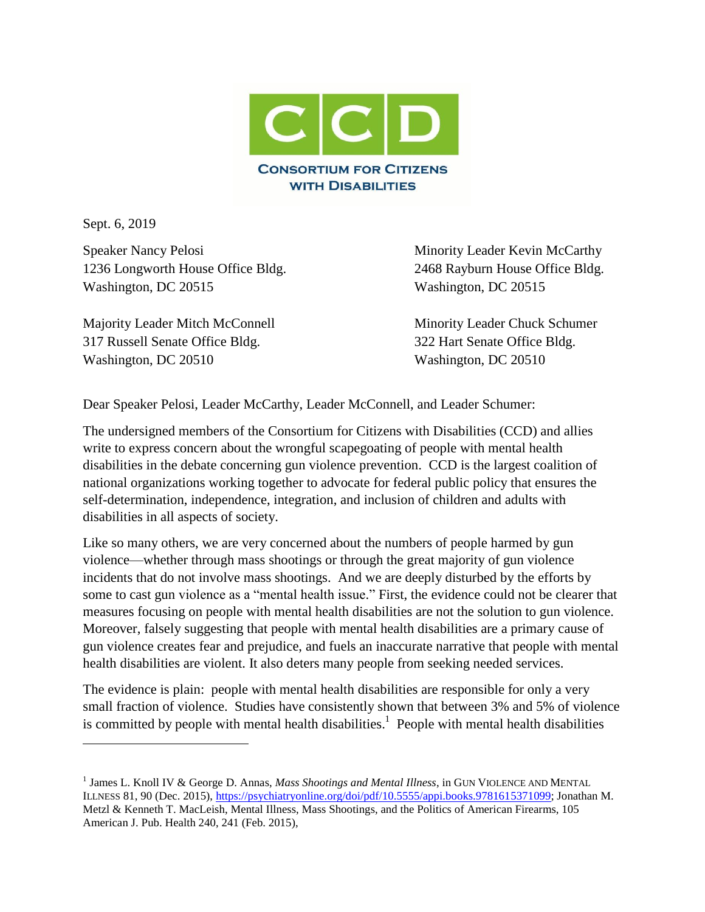

Sept. 6, 2019

 $\overline{\phantom{a}}$ 

Speaker Nancy Pelosi **Minority Leader Kevin McCarthy** 1236 Longworth House Office Bldg. 2468 Rayburn House Office Bldg. Washington, DC 20515 Washington, DC 20515

Majority Leader Mitch McConnell Minority Leader Chuck Schumer 317 Russell Senate Office Bldg. 322 Hart Senate Office Bldg. Washington, DC 20510 Washington, DC 20510

Dear Speaker Pelosi, Leader McCarthy, Leader McConnell, and Leader Schumer:

The undersigned members of the Consortium for Citizens with Disabilities (CCD) and allies write to express concern about the wrongful scapegoating of people with mental health disabilities in the debate concerning gun violence prevention. CCD is the largest coalition of national organizations working together to advocate for federal public policy that ensures the self-determination, independence, integration, and inclusion of children and adults with disabilities in all aspects of society.

Like so many others, we are very concerned about the numbers of people harmed by gun violence—whether through mass shootings or through the great majority of gun violence incidents that do not involve mass shootings. And we are deeply disturbed by the efforts by some to cast gun violence as a "mental health issue." First, the evidence could not be clearer that measures focusing on people with mental health disabilities are not the solution to gun violence. Moreover, falsely suggesting that people with mental health disabilities are a primary cause of gun violence creates fear and prejudice, and fuels an inaccurate narrative that people with mental health disabilities are violent. It also deters many people from seeking needed services.

The evidence is plain: people with mental health disabilities are responsible for only a very small fraction of violence. Studies have consistently shown that between 3% and 5% of violence is committed by people with mental health disabilities.<sup>1</sup> People with mental health disabilities

<sup>&</sup>lt;sup>1</sup> James L. Knoll IV & George D. Annas, *Mass Shootings and Mental Illness*, in GUN VIOLENCE AND MENTAL ILLNESS 81, 90 (Dec. 2015), [https://psychiatryonline.org/doi/pdf/10.5555/appi.books.9781615371099;](https://psychiatryonline.org/doi/pdf/10.5555/appi.books.9781615371099) Jonathan M. Metzl & Kenneth T. MacLeish, Mental Illness, Mass Shootings, and the Politics of American Firearms, 105 American J. Pub. Health 240, 241 (Feb. 2015),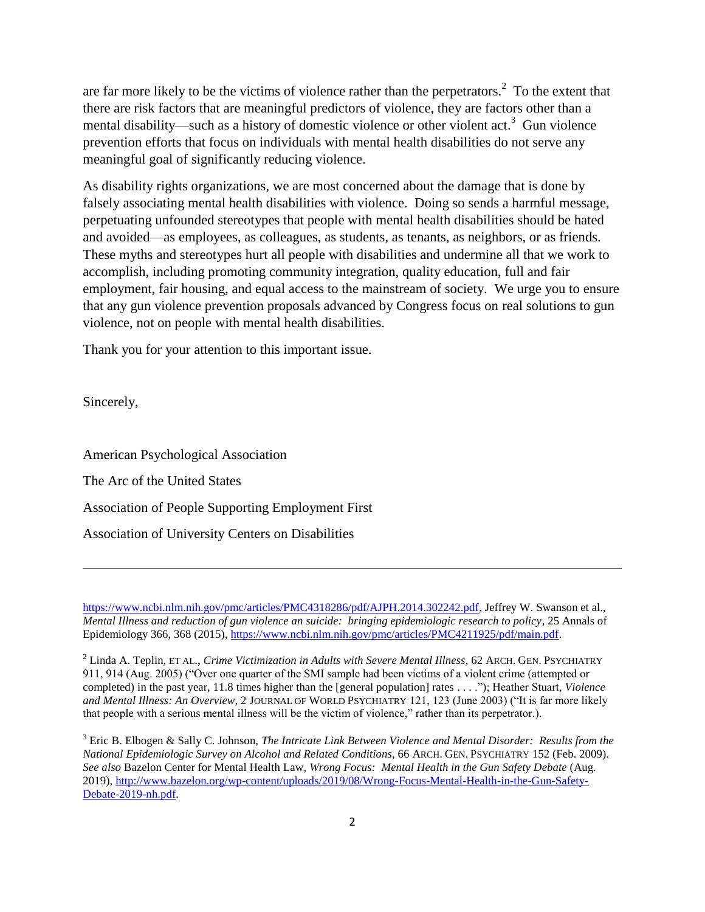are far more likely to be the victims of violence rather than the perpetrators.<sup>2</sup> To the extent that there are risk factors that are meaningful predictors of violence, they are factors other than a mental disability—such as a history of domestic violence or other violent act.<sup>3</sup> Gun violence prevention efforts that focus on individuals with mental health disabilities do not serve any meaningful goal of significantly reducing violence.

As disability rights organizations, we are most concerned about the damage that is done by falsely associating mental health disabilities with violence. Doing so sends a harmful message, perpetuating unfounded stereotypes that people with mental health disabilities should be hated and avoided—as employees, as colleagues, as students, as tenants, as neighbors, or as friends. These myths and stereotypes hurt all people with disabilities and undermine all that we work to accomplish, including promoting community integration, quality education, full and fair employment, fair housing, and equal access to the mainstream of society. We urge you to ensure that any gun violence prevention proposals advanced by Congress focus on real solutions to gun violence, not on people with mental health disabilities.

Thank you for your attention to this important issue.

Sincerely,

 $\overline{a}$ 

American Psychological Association The Arc of the United States Association of People Supporting Employment First Association of University Centers on Disabilities

[https://www.ncbi.nlm.nih.gov/pmc/articles/PMC4318286/pdf/AJPH.2014.302242.pdf,](https://www.ncbi.nlm.nih.gov/pmc/articles/PMC4318286/pdf/AJPH.2014.302242.pdf) Jeffrey W. Swanson et al., *Mental Illness and reduction of gun violence an suicide: bringing epidemiologic research to policy*, 25 Annals of Epidemiology 366, 368 (2015), [https://www.ncbi.nlm.nih.gov/pmc/articles/PMC4211925/pdf/main.pdf.](https://www.ncbi.nlm.nih.gov/pmc/articles/PMC4211925/pdf/main.pdf)

<sup>2</sup> Linda A. Teplin, ET AL., *Crime Victimization in Adults with Severe Mental Illness*, 62 ARCH. GEN. PSYCHIATRY 911, 914 (Aug. 2005) ("Over one quarter of the SMI sample had been victims of a violent crime (attempted or completed) in the past year, 11.8 times higher than the [general population] rates . . . ."); Heather Stuart, *Violence and Mental Illness: An Overview*, 2 JOURNAL OF WORLD PSYCHIATRY 121, 123 (June 2003) ("It is far more likely that people with a serious mental illness will be the victim of violence," rather than its perpetrator.).

<sup>3</sup> Eric B. Elbogen & Sally C. Johnson, *The Intricate Link Between Violence and Mental Disorder: Results from the National Epidemiologic Survey on Alcohol and Related Conditions*, 66 ARCH. GEN. PSYCHIATRY 152 (Feb. 2009). *See also* Bazelon Center for Mental Health Law*, Wrong Focus: Mental Health in the Gun Safety Debate* (Aug. 2019), [http://www.bazelon.org/wp-content/uploads/2019/08/Wrong-Focus-Mental-Health-in-the-Gun-Safety-](http://www.bazelon.org/wp-content/uploads/2019/08/Wrong-Focus-Mental-Health-in-the-Gun-Safety-Debate-2019-nh.pdf)[Debate-2019-nh.pdf.](http://www.bazelon.org/wp-content/uploads/2019/08/Wrong-Focus-Mental-Health-in-the-Gun-Safety-Debate-2019-nh.pdf)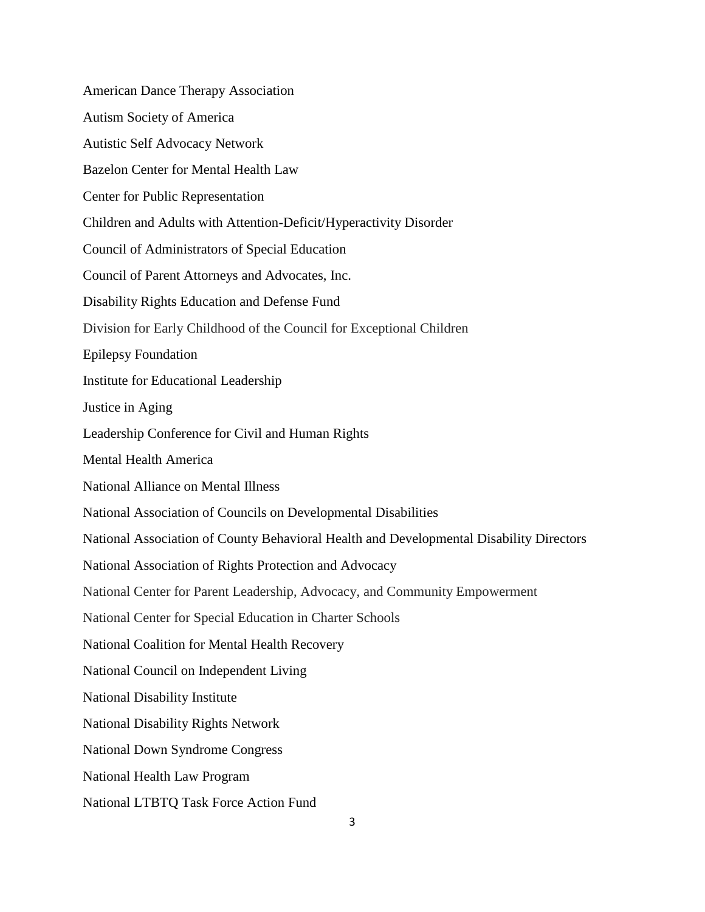American Dance Therapy Association Autism Society of America Autistic Self Advocacy Network Bazelon Center for Mental Health Law Center for Public Representation Children and Adults with Attention-Deficit/Hyperactivity Disorder Council of Administrators of Special Education Council of Parent Attorneys and Advocates, Inc. Disability Rights Education and Defense Fund Division for Early Childhood of the Council for Exceptional Children Epilepsy Foundation Institute for Educational Leadership Justice in Aging Leadership Conference for Civil and Human Rights Mental Health America National Alliance on Mental Illness National Association of Councils on Developmental Disabilities National Association of County Behavioral Health and Developmental Disability Directors National Association of Rights Protection and Advocacy National Center for Parent Leadership, Advocacy, and Community Empowerment National Center for Special Education in Charter Schools National Coalition for Mental Health Recovery National Council on Independent Living National Disability Institute National Disability Rights Network National Down Syndrome Congress National Health Law Program National LTBTQ Task Force Action Fund